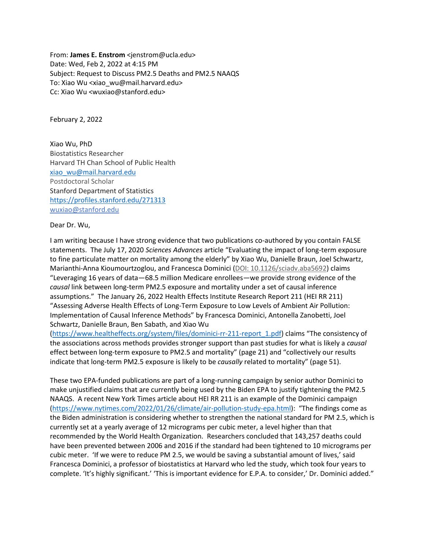From: **James E. Enstrom** <jenstrom@ucla.edu> Date: Wed, Feb 2, 2022 at 4:15 PM Subject: Request to Discuss PM2.5 Deaths and PM2.5 NAAQS To: Xiao Wu <xiao\_wu@mail.harvard.edu> Cc: Xiao Wu <wuxiao@stanford.edu>

February 2, 2022

Xiao Wu, PhD Biostatistics Researcher Harvard TH Chan School of Public Health [xiao\\_wu@mail.harvard.edu](mailto:xiao_wu@mail.harvard.edu) Postdoctoral Scholar Stanford Department of Statistics <https://profiles.stanford.edu/271313> [wuxiao@stanford.edu](mailto:wuxiao@stanford.edu)

Dear Dr. Wu,

I am writing because I have strong evidence that two publications co-authored by you contain FALSE statements. The July 17, 2020 *Sciences Advances* article "Evaluating the impact of long-term exposure to fine particulate matter on mortality among the elderly" by Xiao Wu, Danielle Braun, Joel Schwartz, Marianthi-Anna Kioumourtzoglou, and Francesca Dominici [\(DOI: 10.1126/sciadv.aba5692\)](https://doi.org/10.1126/sciadv.aba5692) claims "Leveraging 16 years of data—68.5 million Medicare enrollees—we provide strong evidence of the *causal* link between long-term PM2.5 exposure and mortality under a set of causal inference assumptions." The January 26, 2022 Health Effects Institute Research Report 211 (HEI RR 211) "Assessing Adverse Health Effects of Long-Term Exposure to Low Levels of Ambient Air Pollution: Implementation of Causal Inference Methods" by Francesca Dominici, Antonella Zanobetti, Joel Schwartz, Danielle Braun, Ben Sabath, and Xiao Wu

[\(https://www.healtheffects.org/system/files/dominici-rr-211-report\\_1.pdf](https://www.healtheffects.org/system/files/dominici-rr-211-report_1.pdf)) claims "The consistency of the associations across methods provides stronger support than past studies for what is likely a *causal* effect between long-term exposure to PM2.5 and mortality" (page 21) and "collectively our results indicate that long-term PM2.5 exposure is likely to be *causally* related to mortality" (page 51).

These two EPA-funded publications are part of a long-running campaign by senior author Dominici to make unjustified claims that are currently being used by the Biden EPA to justify tightening the PM2.5 NAAQS. A recent New York Times article about HEI RR 211 is an example of the Dominici campaign [\(https://www.nytimes.com/2022/01/26/climate/air-pollution-study-epa.html\)](https://www.nytimes.com/2022/01/26/climate/air-pollution-study-epa.html): "The findings come as the Biden administration is considering whether to strengthen the national standard for PM 2.5, which is currently set at a yearly average of 12 micrograms per cubic meter, a level higher than that recommended by the World Health Organization. Researchers concluded that 143,257 deaths could have been prevented between 2006 and 2016 if the standard had been tightened to 10 micrograms per cubic meter. 'If we were to reduce PM 2.5, we would be saving a substantial amount of lives,' said Francesca Dominici, a professor of biostatistics at Harvard who led the study, which took four years to complete. 'It's highly significant.' 'This is important evidence for E.P.A. to consider,' Dr. Dominici added."